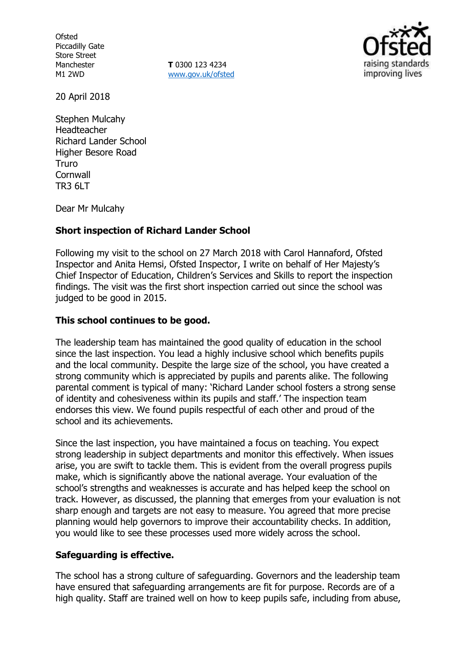**Ofsted** Piccadilly Gate Store Street Manchester M1 2WD

**T** 0300 123 4234 [www.gov.uk/ofsted](http://www.gov.uk/ofsted)



20 April 2018

Stephen Mulcahy Headteacher Richard Lander School Higher Besore Road Truro **Cornwall** TR3 6LT

Dear Mr Mulcahy

## **Short inspection of Richard Lander School**

Following my visit to the school on 27 March 2018 with Carol Hannaford, Ofsted Inspector and Anita Hemsi, Ofsted Inspector, I write on behalf of Her Majesty's Chief Inspector of Education, Children's Services and Skills to report the inspection findings. The visit was the first short inspection carried out since the school was judged to be good in 2015.

## **This school continues to be good.**

The leadership team has maintained the good quality of education in the school since the last inspection. You lead a highly inclusive school which benefits pupils and the local community. Despite the large size of the school, you have created a strong community which is appreciated by pupils and parents alike. The following parental comment is typical of many: 'Richard Lander school fosters a strong sense of identity and cohesiveness within its pupils and staff.' The inspection team endorses this view. We found pupils respectful of each other and proud of the school and its achievements.

Since the last inspection, you have maintained a focus on teaching. You expect strong leadership in subject departments and monitor this effectively. When issues arise, you are swift to tackle them. This is evident from the overall progress pupils make, which is significantly above the national average. Your evaluation of the school's strengths and weaknesses is accurate and has helped keep the school on track. However, as discussed, the planning that emerges from your evaluation is not sharp enough and targets are not easy to measure. You agreed that more precise planning would help governors to improve their accountability checks. In addition, you would like to see these processes used more widely across the school.

## **Safeguarding is effective.**

The school has a strong culture of safeguarding. Governors and the leadership team have ensured that safeguarding arrangements are fit for purpose. Records are of a high quality. Staff are trained well on how to keep pupils safe, including from abuse,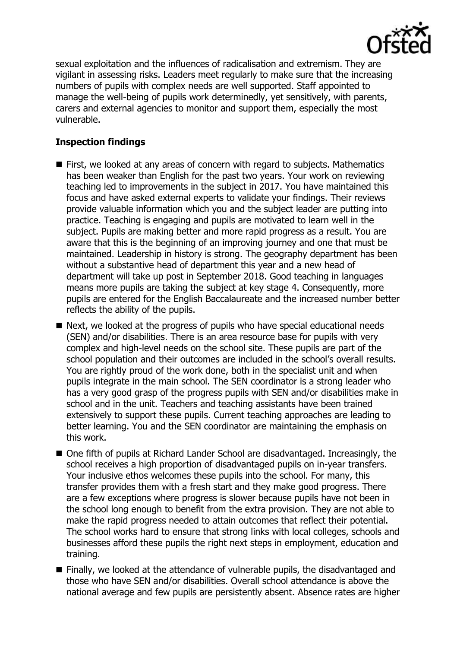

sexual exploitation and the influences of radicalisation and extremism. They are vigilant in assessing risks. Leaders meet regularly to make sure that the increasing numbers of pupils with complex needs are well supported. Staff appointed to manage the well-being of pupils work determinedly, yet sensitively, with parents, carers and external agencies to monitor and support them, especially the most vulnerable.

# **Inspection findings**

- First, we looked at any areas of concern with regard to subjects. Mathematics has been weaker than English for the past two years. Your work on reviewing teaching led to improvements in the subject in 2017. You have maintained this focus and have asked external experts to validate your findings. Their reviews provide valuable information which you and the subject leader are putting into practice. Teaching is engaging and pupils are motivated to learn well in the subject. Pupils are making better and more rapid progress as a result. You are aware that this is the beginning of an improving journey and one that must be maintained. Leadership in history is strong. The geography department has been without a substantive head of department this year and a new head of department will take up post in September 2018. Good teaching in languages means more pupils are taking the subject at key stage 4. Consequently, more pupils are entered for the English Baccalaureate and the increased number better reflects the ability of the pupils.
- Next, we looked at the progress of pupils who have special educational needs (SEN) and/or disabilities. There is an area resource base for pupils with very complex and high-level needs on the school site. These pupils are part of the school population and their outcomes are included in the school's overall results. You are rightly proud of the work done, both in the specialist unit and when pupils integrate in the main school. The SEN coordinator is a strong leader who has a very good grasp of the progress pupils with SEN and/or disabilities make in school and in the unit. Teachers and teaching assistants have been trained extensively to support these pupils. Current teaching approaches are leading to better learning. You and the SEN coordinator are maintaining the emphasis on this work.
- One fifth of pupils at Richard Lander School are disadvantaged. Increasingly, the school receives a high proportion of disadvantaged pupils on in-year transfers. Your inclusive ethos welcomes these pupils into the school. For many, this transfer provides them with a fresh start and they make good progress. There are a few exceptions where progress is slower because pupils have not been in the school long enough to benefit from the extra provision. They are not able to make the rapid progress needed to attain outcomes that reflect their potential. The school works hard to ensure that strong links with local colleges, schools and businesses afford these pupils the right next steps in employment, education and training.
- Finally, we looked at the attendance of vulnerable pupils, the disadvantaged and those who have SEN and/or disabilities. Overall school attendance is above the national average and few pupils are persistently absent. Absence rates are higher